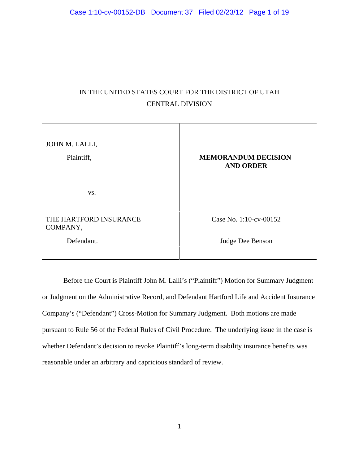# IN THE UNITED STATES COURT FOR THE DISTRICT OF UTAH CENTRAL DIVISION

JOHN M. LALLI, Plaintiff, **MEMORANDUM DECISION AND ORDER** vs. THE HARTFORD INSURANCE COMPANY, Case No. 1:10-cv-00152 Defendant. Judge Dee Benson

Before the Court is Plaintiff John M. Lalli's ("Plaintiff") Motion for Summary Judgment or Judgment on the Administrative Record, and Defendant Hartford Life and Accident Insurance Company's ("Defendant") Cross-Motion for Summary Judgment. Both motions are made pursuant to Rule 56 of the Federal Rules of Civil Procedure. The underlying issue in the case is whether Defendant's decision to revoke Plaintiff's long-term disability insurance benefits was reasonable under an arbitrary and capricious standard of review.

1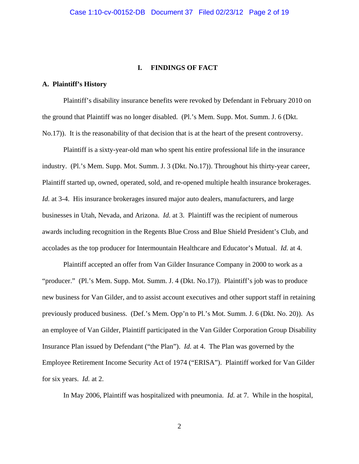## **I. FINDINGS OF FACT**

## **A. Plaintiff's History**

Plaintiff's disability insurance benefits were revoked by Defendant in February 2010 on the ground that Plaintiff was no longer disabled. (Pl.'s Mem. Supp. Mot. Summ. J. 6 (Dkt. No.17)). It is the reasonability of that decision that is at the heart of the present controversy.

Plaintiff is a sixty-year-old man who spent his entire professional life in the insurance industry. (Pl.'s Mem. Supp. Mot. Summ. J. 3 (Dkt. No.17)). Throughout his thirty-year career, Plaintiff started up, owned, operated, sold, and re-opened multiple health insurance brokerages. *Id.* at 3-4. His insurance brokerages insured major auto dealers, manufacturers, and large businesses in Utah, Nevada, and Arizona. *Id.* at 3. Plaintiff was the recipient of numerous awards including recognition in the Regents Blue Cross and Blue Shield President's Club, and accolades as the top producer for Intermountain Healthcare and Educator's Mutual. *Id.* at 4.

Plaintiff accepted an offer from Van Gilder Insurance Company in 2000 to work as a "producer." (Pl.'s Mem. Supp. Mot. Summ. J. 4 (Dkt. No.17)). Plaintiff's job was to produce new business for Van Gilder, and to assist account executives and other support staff in retaining previously produced business. (Def.'s Mem. Opp'n to Pl.'s Mot. Summ. J. 6 (Dkt. No. 20)). As an employee of Van Gilder, Plaintiff participated in the Van Gilder Corporation Group Disability Insurance Plan issued by Defendant ("the Plan"). *Id.* at 4. The Plan was governed by the Employee Retirement Income Security Act of 1974 ("ERISA"). Plaintiff worked for Van Gilder for six years. *Id.* at 2.

In May 2006, Plaintiff was hospitalized with pneumonia. *Id.* at 7. While in the hospital,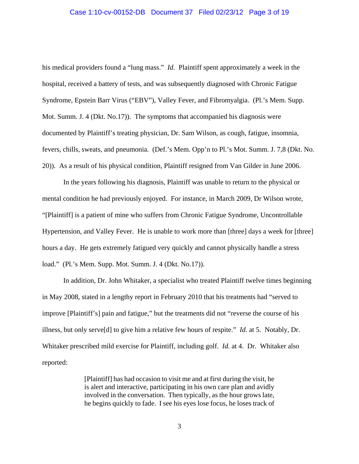#### Case 1:10-cv-00152-DB Document 37 Filed 02/23/12 Page 3 of 19

his medical providers found a "lung mass." *Id.* Plaintiff spent approximately a week in the hospital, received a battery of tests, and was subsequently diagnosed with Chronic Fatigue Syndrome, Epstein Barr Virus ("EBV"), Valley Fever, and Fibromyalgia. (Pl.'s Mem. Supp. Mot. Summ. J. 4 (Dkt. No.17)). The symptoms that accompanied his diagnosis were documented by Plaintiff's treating physician, Dr. Sam Wilson, as cough, fatigue, insomnia, fevers, chills, sweats, and pneumonia. (Def.'s Mem. Opp'n to Pl.'s Mot. Summ. J. 7,8 (Dkt. No. 20)). As a result of his physical condition, Plaintiff resigned from Van Gilder in June 2006.

In the years following his diagnosis, Plaintiff was unable to return to the physical or mental condition he had previously enjoyed. For instance, in March 2009, Dr Wilson wrote, "[Plaintiff] is a patient of mine who suffers from Chronic Fatigue Syndrome, Uncontrollable Hypertension, and Valley Fever. He is unable to work more than [three] days a week for [three] hours a day. He gets extremely fatigued very quickly and cannot physically handle a stress load." (Pl.'s Mem. Supp. Mot. Summ. J. 4 (Dkt. No.17)).

In addition, Dr. John Whitaker, a specialist who treated Plaintiff twelve times beginning in May 2008, stated in a lengthy report in February 2010 that his treatments had "served to improve [Plaintiff's] pain and fatigue," but the treatments did not "reverse the course of his illness, but only serve[d] to give him a relative few hours of respite." *Id.* at 5. Notably, Dr. Whitaker prescribed mild exercise for Plaintiff, including golf. *Id.* at 4. Dr. Whitaker also reported:

> [Plaintiff] has had occasion to visit me and at first during the visit, he is alert and interactive, participating in his own care plan and avidly involved in the conversation. Then typically, as the hour grows late, he begins quickly to fade. I see his eyes lose focus, he loses track of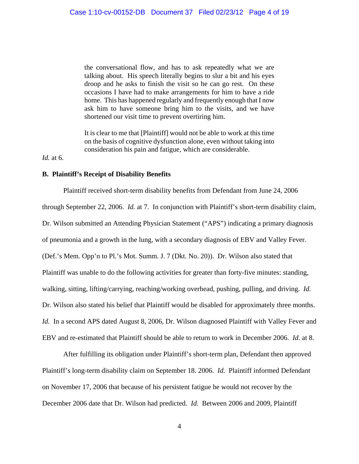the conversational flow, and has to ask repeatedly what we are talking about. His speech literally begins to slur a bit and his eyes droop and he asks to finish the visit so he can go rest. On these occasions I have had to make arrangements for him to have a ride home. This has happened regularly and frequently enough that I now ask him to have someone bring him to the visits, and we have shortened our visit time to prevent overtiring him.

It is clear to me that [Plaintiff] would not be able to work at this time on the basis of cognitive dysfunction alone, even without taking into consideration his pain and fatigue, which are considerable.

*Id.* at 6.

## **B. Plaintiff's Receipt of Disability Benefits**

Plaintiff received short-term disability benefits from Defendant from June 24, 2006 through September 22, 2006. *Id.* at 7. In conjunction with Plaintiff's short-term disability claim, Dr. Wilson submitted an Attending Physician Statement ("APS") indicating a primary diagnosis of pneumonia and a growth in the lung, with a secondary diagnosis of EBV and Valley Fever. (Def.'s Mem. Opp'n to Pl.'s Mot. Summ. J. 7 (Dkt. No. 20)). Dr. Wilson also stated that Plaintiff was unable to do the following activities for greater than forty-five minutes: standing, walking, sitting, lifting/carrying, reaching/working overhead, pushing, pulling, and driving. *Id.*  Dr. Wilson also stated his belief that Plaintiff would be disabled for approximately three months. *Id.* In a second APS dated August 8, 2006, Dr. Wilson diagnosed Plaintiff with Valley Fever and EBV and re-estimated that Plaintiff should be able to return to work in December 2006. *Id.* at 8.

After fulfilling its obligation under Plaintiff's short-term plan, Defendant then approved Plaintiff's long-term disability claim on September 18. 2006. *Id.* Plaintiff informed Defendant on November 17, 2006 that because of his persistent fatigue he would not recover by the December 2006 date that Dr. Wilson had predicted. *Id.* Between 2006 and 2009, Plaintiff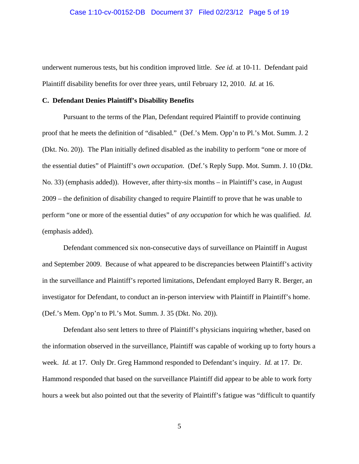#### Case 1:10-cv-00152-DB Document 37 Filed 02/23/12 Page 5 of 19

underwent numerous tests, but his condition improved little. *See id.* at 10-11. Defendant paid Plaintiff disability benefits for over three years, until February 12, 2010. *Id.* at 16.

#### **C. Defendant Denies Plaintiff's Disability Benefits**

Pursuant to the terms of the Plan, Defendant required Plaintiff to provide continuing proof that he meets the definition of "disabled." (Def.'s Mem. Opp'n to Pl.'s Mot. Summ. J. 2 (Dkt. No. 20)). The Plan initially defined disabled as the inability to perform "one or more of the essential duties" of Plaintiff's *own occupation*. (Def.'s Reply Supp. Mot. Summ. J. 10 (Dkt. No. 33) (emphasis added)). However, after thirty-six months – in Plaintiff's case, in August 2009 – the definition of disability changed to require Plaintiff to prove that he was unable to perform "one or more of the essential duties" of *any occupation* for which he was qualified. *Id.* (emphasis added).

Defendant commenced six non-consecutive days of surveillance on Plaintiff in August and September 2009. Because of what appeared to be discrepancies between Plaintiff's activity in the surveillance and Plaintiff's reported limitations, Defendant employed Barry R. Berger, an investigator for Defendant, to conduct an in-person interview with Plaintiff in Plaintiff's home. (Def.'s Mem. Opp'n to Pl.'s Mot. Summ. J. 35 (Dkt. No. 20)).

Defendant also sent letters to three of Plaintiff's physicians inquiring whether, based on the information observed in the surveillance, Plaintiff was capable of working up to forty hours a week. *Id.* at 17. Only Dr. Greg Hammond responded to Defendant's inquiry. *Id.* at 17. Dr. Hammond responded that based on the surveillance Plaintiff did appear to be able to work forty hours a week but also pointed out that the severity of Plaintiff's fatigue was "difficult to quantify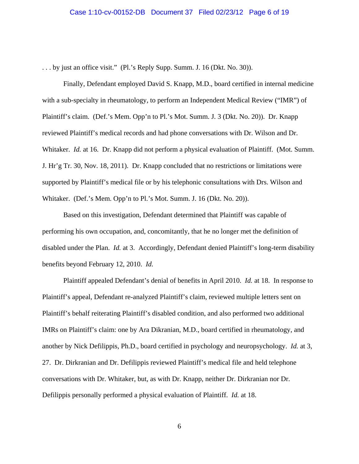. . . by just an office visit." (Pl.'s Reply Supp. Summ. J. 16 (Dkt. No. 30)).

Finally, Defendant employed David S. Knapp, M.D., board certified in internal medicine with a sub-specialty in rheumatology, to perform an Independent Medical Review ("IMR") of Plaintiff's claim. (Def.'s Mem. Opp'n to Pl.'s Mot. Summ. J. 3 (Dkt. No. 20)). Dr. Knapp reviewed Plaintiff's medical records and had phone conversations with Dr. Wilson and Dr. Whitaker. *Id.* at 16. Dr. Knapp did not perform a physical evaluation of Plaintiff. (Mot. Summ. J. Hr'g Tr. 30, Nov. 18, 2011). Dr. Knapp concluded that no restrictions or limitations were supported by Plaintiff's medical file or by his telephonic consultations with Drs. Wilson and Whitaker. (Def.'s Mem. Opp'n to Pl.'s Mot. Summ. J. 16 (Dkt. No. 20)).

Based on this investigation, Defendant determined that Plaintiff was capable of performing his own occupation, and, concomitantly, that he no longer met the definition of disabled under the Plan. *Id.* at 3. Accordingly, Defendant denied Plaintiff's long-term disability benefits beyond February 12, 2010. *Id.*

Plaintiff appealed Defendant's denial of benefits in April 2010. *Id.* at 18. In response to Plaintiff's appeal, Defendant re-analyzed Plaintiff's claim, reviewed multiple letters sent on Plaintiff's behalf reiterating Plaintiff's disabled condition, and also performed two additional IMRs on Plaintiff's claim: one by Ara Dikranian, M.D., board certified in rheumatology, and another by Nick Defilippis, Ph.D., board certified in psychology and neuropsychology. *Id.* at 3, 27. Dr. Dirkranian and Dr. Defilippis reviewed Plaintiff's medical file and held telephone conversations with Dr. Whitaker, but, as with Dr. Knapp, neither Dr. Dirkranian nor Dr. Defilippis personally performed a physical evaluation of Plaintiff. *Id.* at 18.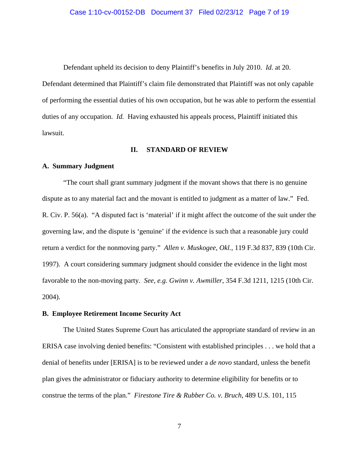Defendant upheld its decision to deny Plaintiff's benefits in July 2010. *Id.* at 20. Defendant determined that Plaintiff's claim file demonstrated that Plaintiff was not only capable of performing the essential duties of his own occupation, but he was able to perform the essential duties of any occupation. *Id.* Having exhausted his appeals process, Plaintiff initiated this lawsuit.

## **II. STANDARD OF REVIEW**

## **A. Summary Judgment**

"The court shall grant summary judgment if the movant shows that there is no genuine dispute as to any material fact and the movant is entitled to judgment as a matter of law." Fed. R. Civ. P. 56(a). "A disputed fact is 'material' if it might affect the outcome of the suit under the governing law, and the dispute is 'genuine' if the evidence is such that a reasonable jury could return a verdict for the nonmoving party." *Allen v. Muskogee, Okl.*, 119 F.3d 837, 839 (10th Cir. 1997). A court considering summary judgment should consider the evidence in the light most favorable to the non-moving party. *See, e.g. Gwinn v. Awmiller*, 354 F.3d 1211, 1215 (10th Cir. 2004).

# **B. Employee Retirement Income Security Act**

The United States Supreme Court has articulated the appropriate standard of review in an ERISA case involving denied benefits: "Consistent with established principles . . . we hold that a denial of benefits under [ERISA] is to be reviewed under a *de novo* standard, unless the benefit plan gives the administrator or fiduciary authority to determine eligibility for benefits or to construe the terms of the plan." *Firestone Tire & Rubber Co. v. Bruch*, 489 U.S. 101, 115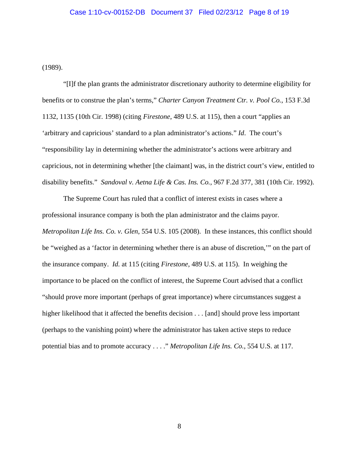(1989).

"[I]f the plan grants the administrator discretionary authority to determine eligibility for benefits or to construe the plan's terms," *Charter Canyon Treatment Ctr. v. Pool Co.*, 153 F.3d 1132, 1135 (10th Cir. 1998) (citing *Firestone*, 489 U.S. at 115), then a court "applies an 'arbitrary and capricious' standard to a plan administrator's actions." *Id*. The court's "responsibility lay in determining whether the administrator's actions were arbitrary and capricious, not in determining whether [the claimant] was, in the district court's view, entitled to disability benefits." *Sandoval v. Aetna Life & Cas. Ins. Co.*, 967 F.2d 377, 381 (10th Cir. 1992).

The Supreme Court has ruled that a conflict of interest exists in cases where a professional insurance company is both the plan administrator and the claims payor. *Metropolitan Life Ins. Co. v. Glen*, 554 U.S. 105 (2008). In these instances, this conflict should be "weighed as a 'factor in determining whether there is an abuse of discretion,'" on the part of the insurance company. *Id.* at 115 (citing *Firestone*, 489 U.S. at 115). In weighing the importance to be placed on the conflict of interest, the Supreme Court advised that a conflict "should prove more important (perhaps of great importance) where circumstances suggest a higher likelihood that it affected the benefits decision . . . [and] should prove less important (perhaps to the vanishing point) where the administrator has taken active steps to reduce potential bias and to promote accuracy . . . ." *Metropolitan Life Ins. Co.*, 554 U.S. at 117.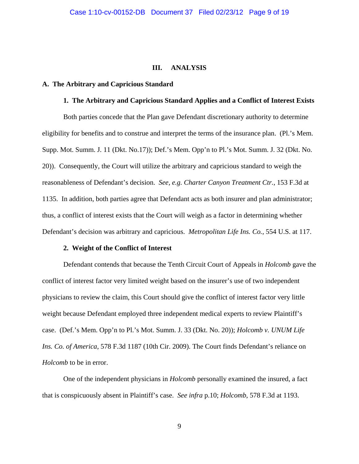## **III. ANALYSIS**

#### **A. The Arbitrary and Capricious Standard**

## **1. The Arbitrary and Capricious Standard Applies and a Conflict of Interest Exists**

Both parties concede that the Plan gave Defendant discretionary authority to determine eligibility for benefits and to construe and interpret the terms of the insurance plan. (Pl.'s Mem. Supp. Mot. Summ. J. 11 (Dkt. No.17)); Def.'s Mem. Opp'n to Pl.'s Mot. Summ. J. 32 (Dkt. No. 20)). Consequently, the Court will utilize the arbitrary and capricious standard to weigh the reasonableness of Defendant's decision. *See, e.g. Charter Canyon Treatment Ctr.,* 153 F.3d at 1135. In addition, both parties agree that Defendant acts as both insurer and plan administrator; thus, a conflict of interest exists that the Court will weigh as a factor in determining whether Defendant's decision was arbitrary and capricious. *Metropolitan Life Ins. Co.*, 554 U.S. at 117.

## **2. Weight of the Conflict of Interest**

Defendant contends that because the Tenth Circuit Court of Appeals in *Holcomb* gave the conflict of interest factor very limited weight based on the insurer's use of two independent physicians to review the claim, this Court should give the conflict of interest factor very little weight because Defendant employed three independent medical experts to review Plaintiff's case. (Def.'s Mem. Opp'n to Pl.'s Mot. Summ. J. 33 (Dkt. No. 20)); *Holcomb v. UNUM Life Ins. Co. of America*, 578 F.3d 1187 (10th Cir. 2009). The Court finds Defendant's reliance on *Holcomb* to be in error.

One of the independent physicians in *Holcomb* personally examined the insured, a fact that is conspicuously absent in Plaintiff's case. *See infra* p.10; *Holcomb*, 578 F.3d at 1193.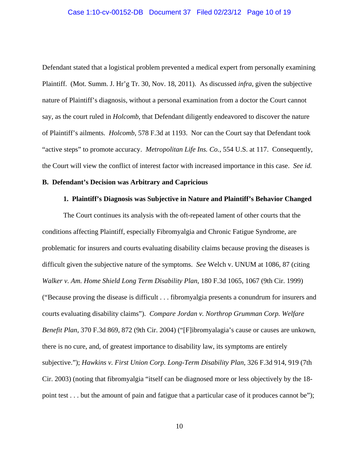#### Case 1:10-cv-00152-DB Document 37 Filed 02/23/12 Page 10 of 19

Defendant stated that a logistical problem prevented a medical expert from personally examining Plaintiff. (Mot. Summ. J. Hr'g Tr. 30, Nov. 18, 2011). As discussed *infra*, given the subjective nature of Plaintiff's diagnosis, without a personal examination from a doctor the Court cannot say, as the court ruled in *Holcomb*, that Defendant diligently endeavored to discover the nature of Plaintiff's ailments. *Holcomb*, 578 F.3d at 1193. Nor can the Court say that Defendant took "active steps" to promote accuracy. *Metropolitan Life Ins. Co.*, 554 U.S. at 117. Consequently, the Court will view the conflict of interest factor with increased importance in this case. *See id.*

#### **B. Defendant's Decision was Arbitrary and Capricious**

## **1. Plaintiff's Diagnosis was Subjective in Nature and Plaintiff's Behavior Changed**

The Court continues its analysis with the oft-repeated lament of other courts that the conditions affecting Plaintiff, especially Fibromyalgia and Chronic Fatigue Syndrome, are problematic for insurers and courts evaluating disability claims because proving the diseases is difficult given the subjective nature of the symptoms. *See* Welch v. UNUM at 1086, 87 (citing *Walker v. Am. Home Shield Long Term Disability Plan*, 180 F.3d 1065, 1067 (9th Cir. 1999) ("Because proving the disease is difficult . . . fibromyalgia presents a conundrum for insurers and courts evaluating disability claims"). *Compare Jordan v. Northrop Grumman Corp. Welfare Benefit Plan*, 370 F.3d 869, 872 (9th Cir. 2004) ("[F]ibromyalagia's cause or causes are unkown, there is no cure, and, of greatest importance to disability law, its symptoms are entirely subjective."); *Hawkins v. First Union Corp. Long-Term Disability Plan*, 326 F.3d 914, 919 (7th Cir. 2003) (noting that fibromyalgia "itself can be diagnosed more or less objectively by the 18 point test . . . but the amount of pain and fatigue that a particular case of it produces cannot be");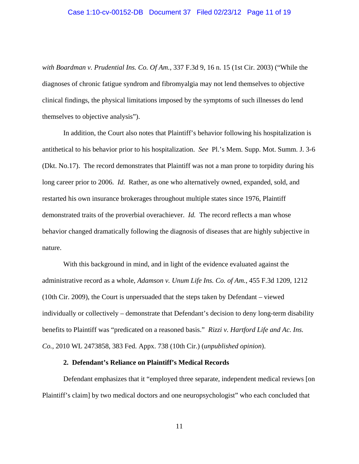#### Case 1:10-cv-00152-DB Document 37 Filed 02/23/12 Page 11 of 19

*with Boardman v. Prudential Ins. Co. Of Am.*, 337 F.3d 9, 16 n. 15 (1st Cir. 2003) ("While the diagnoses of chronic fatigue syndrom and fibromyalgia may not lend themselves to objective clinical findings, the physical limitations imposed by the symptoms of such illnesses do lend themselves to objective analysis").

In addition, the Court also notes that Plaintiff's behavior following his hospitalization is antithetical to his behavior prior to his hospitalization. *See* Pl.'s Mem. Supp. Mot. Summ. J. 3-6 (Dkt. No.17). The record demonstrates that Plaintiff was not a man prone to torpidity during his long career prior to 2006. *Id.* Rather, as one who alternatively owned, expanded, sold, and restarted his own insurance brokerages throughout multiple states since 1976, Plaintiff demonstrated traits of the proverbial overachiever. *Id.* The record reflects a man whose behavior changed dramatically following the diagnosis of diseases that are highly subjective in nature.

With this background in mind, and in light of the evidence evaluated against the administrative record as a whole, *Adamson v. Unum Life Ins. Co. of Am.*, 455 F.3d 1209, 1212 (10th Cir. 2009), the Court is unpersuaded that the steps taken by Defendant – viewed individually or collectively – demonstrate that Defendant's decision to deny long-term disability benefits to Plaintiff was "predicated on a reasoned basis." *Rizzi v. Hartford Life and Ac. Ins. Co.*, 2010 WL 2473858, 383 Fed. Appx. 738 (10th Cir.) (*unpublished opinion*).

## **2. Defendant's Reliance on Plaintiff's Medical Records**

Defendant emphasizes that it "employed three separate, independent medical reviews [on Plaintiff's claim] by two medical doctors and one neuropsychologist" who each concluded that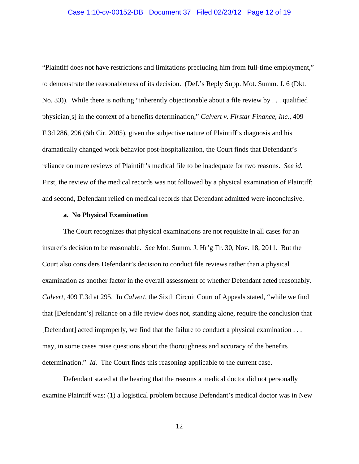#### Case 1:10-cv-00152-DB Document 37 Filed 02/23/12 Page 12 of 19

"Plaintiff does not have restrictions and limitations precluding him from full-time employment," to demonstrate the reasonableness of its decision. (Def.'s Reply Supp. Mot. Summ. J. 6 (Dkt. No. 33)). While there is nothing "inherently objectionable about a file review by . . . qualified physician[s] in the context of a benefits determination," *Calvert v. Firstar Finance, Inc.*, 409 F.3d 286, 296 (6th Cir. 2005), given the subjective nature of Plaintiff's diagnosis and his dramatically changed work behavior post-hospitalization, the Court finds that Defendant's reliance on mere reviews of Plaintiff's medical file to be inadequate for two reasons. *See id.*  First, the review of the medical records was not followed by a physical examination of Plaintiff; and second, Defendant relied on medical records that Defendant admitted were inconclusive.

## **a. No Physical Examination**

The Court recognizes that physical examinations are not requisite in all cases for an insurer's decision to be reasonable. *See* Mot. Summ. J. Hr'g Tr. 30, Nov. 18, 2011. But the Court also considers Defendant's decision to conduct file reviews rather than a physical examination as another factor in the overall assessment of whether Defendant acted reasonably. *Calvert*, 409 F.3d at 295. In *Calvert*, the Sixth Circuit Court of Appeals stated, "while we find that [Defendant's] reliance on a file review does not, standing alone, require the conclusion that [Defendant] acted improperly, we find that the failure to conduct a physical examination . . . may, in some cases raise questions about the thoroughness and accuracy of the benefits determination." *Id.* The Court finds this reasoning applicable to the current case.

Defendant stated at the hearing that the reasons a medical doctor did not personally examine Plaintiff was: (1) a logistical problem because Defendant's medical doctor was in New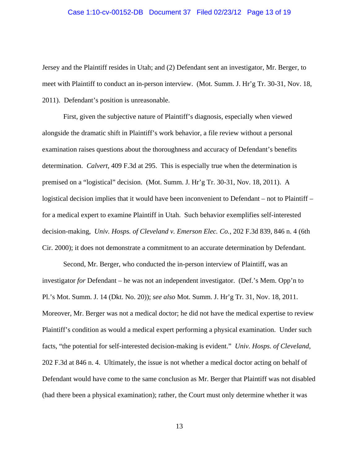#### Case 1:10-cv-00152-DB Document 37 Filed 02/23/12 Page 13 of 19

Jersey and the Plaintiff resides in Utah; and (2) Defendant sent an investigator, Mr. Berger, to meet with Plaintiff to conduct an in-person interview. (Mot. Summ. J. Hr'g Tr. 30-31, Nov. 18, 2011). Defendant's position is unreasonable.

First, given the subjective nature of Plaintiff's diagnosis, especially when viewed alongside the dramatic shift in Plaintiff's work behavior, a file review without a personal examination raises questions about the thoroughness and accuracy of Defendant's benefits determination. *Calvert*, 409 F.3d at 295. This is especially true when the determination is premised on a "logistical" decision. (Mot. Summ. J. Hr'g Tr. 30-31, Nov. 18, 2011). A logistical decision implies that it would have been inconvenient to Defendant – not to Plaintiff – for a medical expert to examine Plaintiff in Utah. Such behavior exemplifies self-interested decision-making, *Univ. Hosps. of Cleveland v. Emerson Elec. Co.*, 202 F.3d 839, 846 n. 4 (6th Cir. 2000); it does not demonstrate a commitment to an accurate determination by Defendant.

Second, Mr. Berger, who conducted the in-person interview of Plaintiff, was an investigator *for* Defendant – he was not an independent investigator. (Def.'s Mem. Opp'n to Pl.'s Mot. Summ. J. 14 (Dkt. No. 20)); *see also* Mot. Summ. J. Hr'g Tr. 31, Nov. 18, 2011. Moreover, Mr. Berger was not a medical doctor; he did not have the medical expertise to review Plaintiff's condition as would a medical expert performing a physical examination. Under such facts, "the potential for self-interested decision-making is evident." *Univ. Hosps. of Cleveland*, 202 F.3d at 846 n. 4. Ultimately, the issue is not whether a medical doctor acting on behalf of Defendant would have come to the same conclusion as Mr. Berger that Plaintiff was not disabled (had there been a physical examination); rather, the Court must only determine whether it was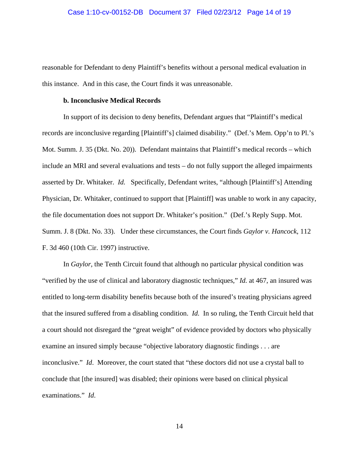#### Case 1:10-cv-00152-DB Document 37 Filed 02/23/12 Page 14 of 19

reasonable for Defendant to deny Plaintiff's benefits without a personal medical evaluation in this instance. And in this case, the Court finds it was unreasonable.

# **b. Inconclusive Medical Records**

In support of its decision to deny benefits, Defendant argues that "Plaintiff's medical records are inconclusive regarding [Plaintiff's] claimed disability." (Def.'s Mem. Opp'n to Pl.'s Mot. Summ. J. 35 (Dkt. No. 20)). Defendant maintains that Plaintiff's medical records – which include an MRI and several evaluations and tests – do not fully support the alleged impairments asserted by Dr. Whitaker. *Id.* Specifically, Defendant writes, "although [Plaintiff's] Attending Physician, Dr. Whitaker, continued to support that [Plaintiff] was unable to work in any capacity, the file documentation does not support Dr. Whitaker's position." (Def.'s Reply Supp. Mot. Summ. J. 8 (Dkt. No. 33). Under these circumstances, the Court finds *Gaylor v. Hancock*, 112 F. 3d 460 (10th Cir. 1997) instructive.

In *Gaylor,* the Tenth Circuit found that although no particular physical condition was "verified by the use of clinical and laboratory diagnostic techniques," *Id.* at 467, an insured was entitled to long-term disability benefits because both of the insured's treating physicians agreed that the insured suffered from a disabling condition. *Id.* In so ruling, the Tenth Circuit held that a court should not disregard the "great weight" of evidence provided by doctors who physically examine an insured simply because "objective laboratory diagnostic findings . . . are inconclusive." *Id*. Moreover, the court stated that "these doctors did not use a crystal ball to conclude that [the insured] was disabled; their opinions were based on clinical physical examinations." *Id*.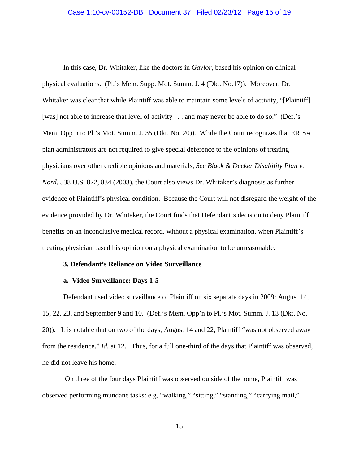#### Case 1:10-cv-00152-DB Document 37 Filed 02/23/12 Page 15 of 19

In this case, Dr. Whitaker, like the doctors in *Gaylor*, based his opinion on clinical physical evaluations. (Pl.'s Mem. Supp. Mot. Summ. J. 4 (Dkt. No.17)). Moreover, Dr. Whitaker was clear that while Plaintiff was able to maintain some levels of activity, "[Plaintiff] [was] not able to increase that level of activity . . . and may never be able to do so." (Def.'s Mem. Opp'n to Pl.'s Mot. Summ. J. 35 (Dkt. No. 20)). While the Court recognizes that ERISA plan administrators are not required to give special deference to the opinions of treating physicians over other credible opinions and materials, *See Black & Decker Disability Plan v. Nord*, 538 U.S. 822, 834 (2003), the Court also views Dr. Whitaker's diagnosis as further evidence of Plaintiff's physical condition. Because the Court will not disregard the weight of the evidence provided by Dr. Whitaker, the Court finds that Defendant's decision to deny Plaintiff benefits on an inconclusive medical record, without a physical examination, when Plaintiff's treating physician based his opinion on a physical examination to be unreasonable.

# **3. Defendant's Reliance on Video Surveillance**

#### **a. Video Surveillance: Days 1-5**

Defendant used video surveillance of Plaintiff on six separate days in 2009: August 14, 15, 22, 23, and September 9 and 10. (Def.'s Mem. Opp'n to Pl.'s Mot. Summ. J. 13 (Dkt. No. 20)). It is notable that on two of the days, August 14 and 22, Plaintiff "was not observed away from the residence." *Id.* at 12. Thus, for a full one-third of the days that Plaintiff was observed, he did not leave his home.

 On three of the four days Plaintiff was observed outside of the home, Plaintiff was observed performing mundane tasks: e.g, "walking," "sitting," "standing," "carrying mail,"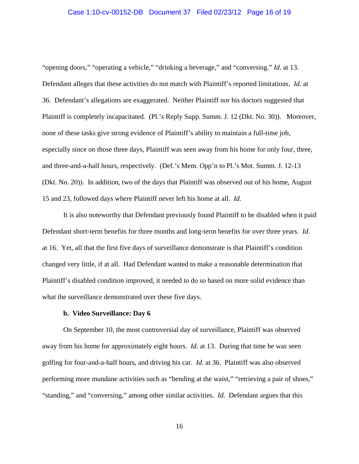## Case 1:10-cv-00152-DB Document 37 Filed 02/23/12 Page 16 of 19

"opening doors," "operating a vehicle," "drinking a beverage," and "conversing." *Id.* at 13. Defendant alleges that these activities do not match with Plaintiff's reported limitations. *Id.* at 36. Defendant's allegations are exaggerated. Neither Plaintiff nor his doctors suggested that Plaintiff is completely incapacitated. (Pl.'s Reply Supp. Summ. J. 12 (Dkt. No. 30)). Moreover, none of these tasks give strong evidence of Plaintiff's ability to maintain a full-time job, especially since on those three days, Plaintiff was seen away from his home for only four, three, and three-and-a-half hours, respectively. (Def.'s Mem. Opp'n to Pl.'s Mot. Summ. J. 12-13 (Dkt. No. 20)). In addition, two of the days that Plaintiff was observed out of his home, August 15 and 23, followed days where Plaintiff never left his home at all. *Id.*

It is also noteworthy that Defendant previously found Plaintiff to be disabled when it paid Defendant short-term benefits for three months and long-term benefits for over three years. *Id.* at 16. Yet, all that the first five days of surveillance demonstrate is that Plaintiff's condition changed very little, if at all. Had Defendant wanted to make a reasonable determination that Plaintiff's disabled condition improved, it needed to do so based on more solid evidence than what the surveillance demonstrated over these five days.

## **b. Video Surveillance: Day 6**

On September 10, the most controversial day of surveillance, Plaintiff was observed away from his home for approximately eight hours. *Id.* at 13. During that time he was seen golfing for four-and-a-half hours, and driving his car. *Id.* at 36. Plaintiff was also observed performing more mundane activities such as "bending at the waist," "retrieving a pair of shoes," "standing," and "conversing," among other similar activities. *Id.* Defendant argues that this

16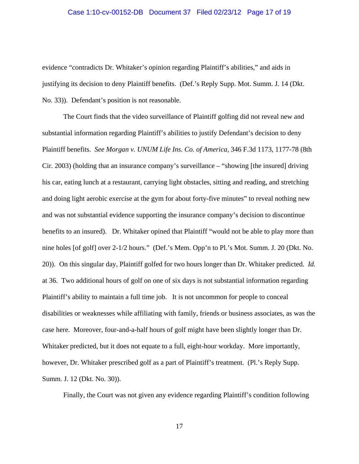#### Case 1:10-cv-00152-DB Document 37 Filed 02/23/12 Page 17 of 19

evidence "contradicts Dr. Whitaker's opinion regarding Plaintiff's abilities," and aids in justifying its decision to deny Plaintiff benefits. (Def.'s Reply Supp. Mot. Summ. J. 14 (Dkt. No. 33)). Defendant's position is not reasonable.

The Court finds that the video surveillance of Plaintiff golfing did not reveal new and substantial information regarding Plaintiff's abilities to justify Defendant's decision to deny Plaintiff benefits. *See Morgan v. UNUM Life Ins. Co. of America*, 346 F.3d 1173, 1177-78 (8th Cir. 2003) (holding that an insurance company's surveillance – "showing [the insured] driving his car, eating lunch at a restaurant, carrying light obstacles, sitting and reading, and stretching and doing light aerobic exercise at the gym for about forty-five minutes" to reveal nothing new and was not substantial evidence supporting the insurance company's decision to discontinue benefits to an insured). Dr. Whitaker opined that Plaintiff "would not be able to play more than nine holes [of golf] over 2-1/2 hours." (Def.'s Mem. Opp'n to Pl.'s Mot. Summ. J. 20 (Dkt. No. 20)). On this singular day, Plaintiff golfed for two hours longer than Dr. Whitaker predicted. *Id.* at 36. Two additional hours of golf on one of six days is not substantial information regarding Plaintiff's ability to maintain a full time job. It is not uncommon for people to conceal disabilities or weaknesses while affiliating with family, friends or business associates, as was the case here. Moreover, four-and-a-half hours of golf might have been slightly longer than Dr. Whitaker predicted, but it does not equate to a full, eight-hour workday. More importantly, however, Dr. Whitaker prescribed golf as a part of Plaintiff's treatment. (Pl.'s Reply Supp. Summ. J. 12 (Dkt. No. 30)).

Finally, the Court was not given any evidence regarding Plaintiff's condition following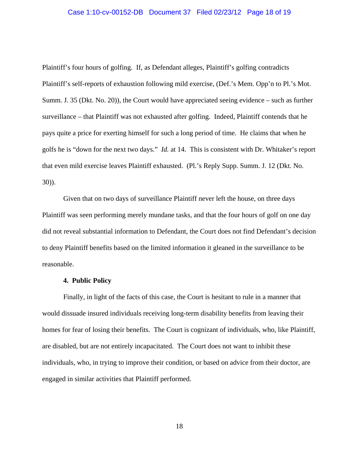#### Case 1:10-cv-00152-DB Document 37 Filed 02/23/12 Page 18 of 19

Plaintiff's four hours of golfing. If, as Defendant alleges, Plaintiff's golfing contradicts Plaintiff's self-reports of exhaustion following mild exercise, (Def.'s Mem. Opp'n to Pl.'s Mot. Summ. J. 35 (Dkt. No. 20)), the Court would have appreciated seeing evidence – such as further surveillance – that Plaintiff was not exhausted after golfing. Indeed, Plaintiff contends that he pays quite a price for exerting himself for such a long period of time. He claims that when he golfs he is "down for the next two days." *Id.* at 14. This is consistent with Dr. Whitaker's report that even mild exercise leaves Plaintiff exhausted. (Pl.'s Reply Supp. Summ. J. 12 (Dkt. No. 30)).

Given that on two days of surveillance Plaintiff never left the house, on three days Plaintiff was seen performing merely mundane tasks, and that the four hours of golf on one day did not reveal substantial information to Defendant, the Court does not find Defendant's decision to deny Plaintiff benefits based on the limited information it gleaned in the surveillance to be reasonable.

## **4. Public Policy**

Finally, in light of the facts of this case, the Court is hesitant to rule in a manner that would dissuade insured individuals receiving long-term disability benefits from leaving their homes for fear of losing their benefits. The Court is cognizant of individuals, who, like Plaintiff, are disabled, but are not entirely incapacitated. The Court does not want to inhibit these individuals, who, in trying to improve their condition, or based on advice from their doctor, are engaged in similar activities that Plaintiff performed.

18